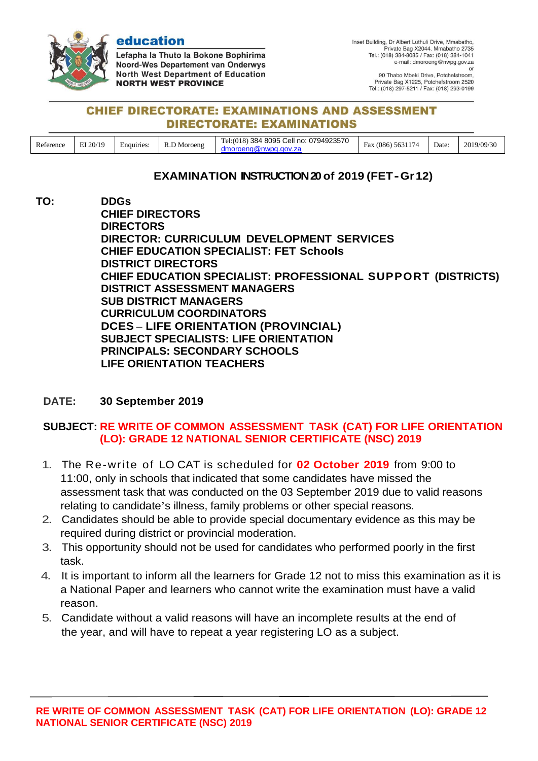

education

Lefapha la Thuto la Bokone Bophirima Noord-Wes Departement van Onderwys **North West Department of Education NORTH WEST PROVINCE** 

90 Thabo Mbeki Drive, Potchefstroom, Private Bag X1225, Potchefstroom 2520 Tel.: (018) 297-5211 / Fax: (018) 293-0199

#### **CHIEF DIRECTORATE: EXAMINATIONS AND ASSESSMENT DIRECTORATE: EXAMINATIONS**

| $\sim$<br>Reference | $T = 20/19$ | Enquiries | Moroeng<br>the control of the control of | Cell no:<br>0794923570<br>8095 C<br>384<br>—<br>re!<br>. | $\sim$ $\sim$ $\sim$ $\sim$<br>$\overline{\phantom{0}}$<br>(086)<br>∺ах<br>.56.<br>-14 | Date:<br>. | 2019/09/30 |
|---------------------|-------------|-----------|------------------------------------------|----------------------------------------------------------|----------------------------------------------------------------------------------------|------------|------------|
|---------------------|-------------|-----------|------------------------------------------|----------------------------------------------------------|----------------------------------------------------------------------------------------|------------|------------|

## **EXAMINATION INSTRUCTION20of 2019 (FET-Gr12)**

**TO: DDGs CHIEF DIRECTORS DIRECTORS DIRECTOR: CURRICULUM DEVELOPMENT SERVICES CHIEF EDUCATION SPECIALIST: FET Schools DISTRICT DIRECTORS CHIEF EDUCATION SPECIALIST: PROFESSIONAL SUPPORT (DISTRICTS) DISTRICT ASSESSMENT MANAGERS SUB DISTRICT MANAGERS CURRICULUM COORDINATORS DCES – LIFE ORIENTATION (PROVINCIAL) SUBJECT SPECIALISTS: LIFE ORIENTATION PRINCIPALS: SECONDARY SCHOOLS LIFE ORIENTATION TEACHERS**

### **DATE: 30 September 2019**

# **SUBJECT: RE WRITE OF COMMON ASSESSMENT TASK (CAT) FOR LIFE ORIENTATION (LO): GRADE 12 NATIONAL SENIOR CERTIFICATE (NSC) 2019**

- 1. The Re-write of LO CAT is scheduled for **02 October 2019** from 9:00 to 11:00, only in schools that indicated that some candidates have missed the assessment task that was conducted on the 03 September 2019 due to valid reasons relating to candidate's illness, family problems or other special reasons.
- 2. Candidates should be able to provide special documentary evidence as this may be required during district or provincial moderation.
- 3. This opportunity should not be used for candidates who performed poorly in the first task.
- 4. It is important to inform all the learners for Grade 12 not to miss this examination as it is a National Paper and learners who cannot write the examination must have a valid reason.
- 5. Candidate without a valid reasons will have an incomplete results at the end of the year, and will have to repeat a year registering LO as a subject.